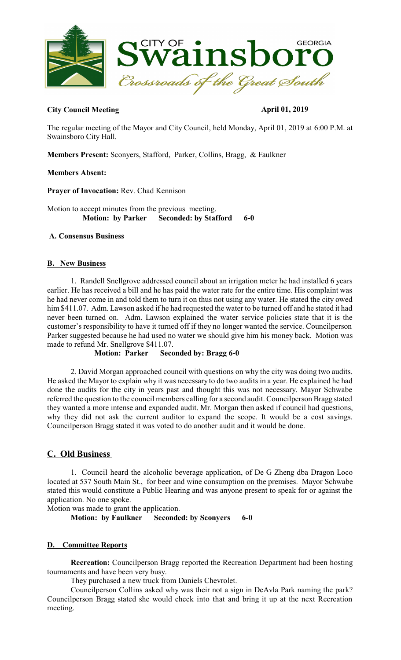

### **City Council Meeting April 01, 2019**

The regular meeting of the Mayor and City Council, held Monday, April 01, 2019 at 6:00 P.M. at Swainsboro City Hall.

**Members Present:** Sconyers, Stafford, Parker, Collins, Bragg, & Faulkner

### **Members Absent:**

**Prayer of Invocation:** Rev. Chad Kennison

Motion to accept minutes from the previous meeting.  **Motion: by Parker Seconded: by Stafford 6-0** 

## **A. Consensus Business**

### **B. New Business**

1. Randell Snellgrove addressed council about an irrigation meter he had installed 6 years earlier. He has received a bill and he has paid the water rate for the entire time. His complaint was he had never come in and told them to turn it on thus not using any water. He stated the city owed him \$411.07. Adm. Lawson asked if he had requested the water to be turned off and he stated it had never been turned on. Adm. Lawson explained the water service policies state that it is the customer's responsibility to have it turned off if they no longer wanted the service. Councilperson Parker suggested because he had used no water we should give him his money back. Motion was made to refund Mr. Snellgrove \$411.07.<br>**Motion: Parker Seco** 

### **Seconded by: Bragg 6-0**

2. David Morgan approached council with questions on why the city was doing two audits. He asked the Mayor to explain why it was necessary to do two audits in a year. He explained he had done the audits for the city in years past and thought this was not necessary. Mayor Schwabe referred the question to the council members calling for a second audit. Councilperson Bragg stated they wanted a more intense and expanded audit. Mr. Morgan then asked if council had questions, why they did not ask the current auditor to expand the scope. It would be a cost savings. Councilperson Bragg stated it was voted to do another audit and it would be done.

## **C. Old Business**

1. Council heard the alcoholic beverage application, of De G Zheng dba Dragon Loco located at 537 South Main St., for beer and wine consumption on the premises. Mayor Schwabe stated this would constitute a Public Hearing and was anyone present to speak for or against the application. No one spoke.

Motion was made to grant the application.

**Motion: by Faulkner Seconded: by Sconyers 6-0** 

### **D. Committee Reports**

**Recreation:** Councilperson Bragg reported the Recreation Department had been hosting tournaments and have been very busy.

They purchased a new truck from Daniels Chevrolet.

Councilperson Collins asked why was their not a sign in DeAvla Park naming the park? Councilperson Bragg stated she would check into that and bring it up at the next Recreation meeting.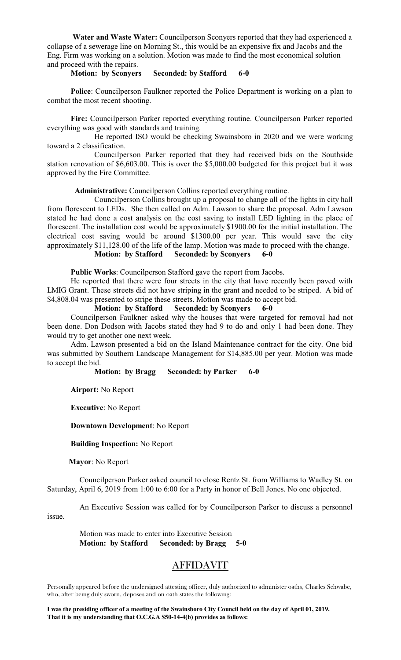**Water and Waste Water:** Councilperson Sconyers reported that they had experienced a collapse of a sewerage line on Morning St., this would be an expensive fix and Jacobs and the Eng. Firm was working on a solution. Motion was made to find the most economical solution and proceed with the repairs.

#### **Motion: by Sconyers Seconded: by Stafford 6-0**

**Police**: Councilperson Faulkner reported the Police Department is working on a plan to combat the most recent shooting.

**Fire:** Councilperson Parker reported everything routine. Councilperson Parker reported everything was good with standards and training.

He reported ISO would be checking Swainsboro in 2020 and we were working toward a 2 classification.

Councilperson Parker reported that they had received bids on the Southside station renovation of \$6,603.00. This is over the \$5,000.00 budgeted for this project but it was approved by the Fire Committee.

**Administrative:** Councilperson Collins reported everything routine.

Councilperson Collins brought up a proposal to change all of the lights in city hall from florescent to LEDs. She then called on Adm. Lawson to share the proposal. Adm Lawson stated he had done a cost analysis on the cost saving to install LED lighting in the place of florescent. The installation cost would be approximately \$1900.00 for the initial installation. The electrical cost saving would be around \$1300.00 per year. This would save the city approximately \$11,128.00 of the life of the lamp. Motion was made to proceed with the change. **Motion: by Stafford Seconded: by Sconyers 6-0**

**Public Works**: Councilperson Stafford gave the report from Jacobs. He reported that there were four streets in the city that have recently been paved with LMIG Grant. These streets did not have striping in the grant and needed to be striped. A bid of \$4,808.04 was presented to stripe these streets. Motion was made to accept bid.

#### **Motion: by Stafford Seconded: by Sconyers 6-0**

Councilperson Faulkner asked why the houses that were targeted for removal had not been done. Don Dodson with Jacobs stated they had 9 to do and only 1 had been done. They would try to get another one next week.

Adm. Lawson presented a bid on the Island Maintenance contract for the city. One bid was submitted by Southern Landscape Management for \$14,885.00 per year. Motion was made to accept the bid.<br>**Motion:** by Bragg

**Seconded: by Parker 6-0** 

**Airport:** No Report

**Executive**: No Report

#### **Downtown Development**: No Report

 **Building Inspection:** No Report

**Mayor**: No Report

Councilperson Parker asked council to close Rentz St. from Williams to Wadley St. on Saturday, April 6, 2019 from 1:00 to 6:00 for a Party in honor of Bell Jones. No one objected.

An Executive Session was called for by Councilperson Parker to discuss a personnel issue.

Motion was made to enter into Executive Session **Motion: by Stafford Seconded: by Bragg 5-0** 

# AFFIDAVIT

Personally appeared before the undersigned attesting officer, duly authorized to administer oaths, Charles Schwabe, who, after being duly sworn, deposes and on oath states the following:

**I was the presiding officer of a meeting of the Swainsboro City Council held on the day of April 01, 2019. That it is my understanding that O.C.G.A \$50-14-4(b) provides as follows:**